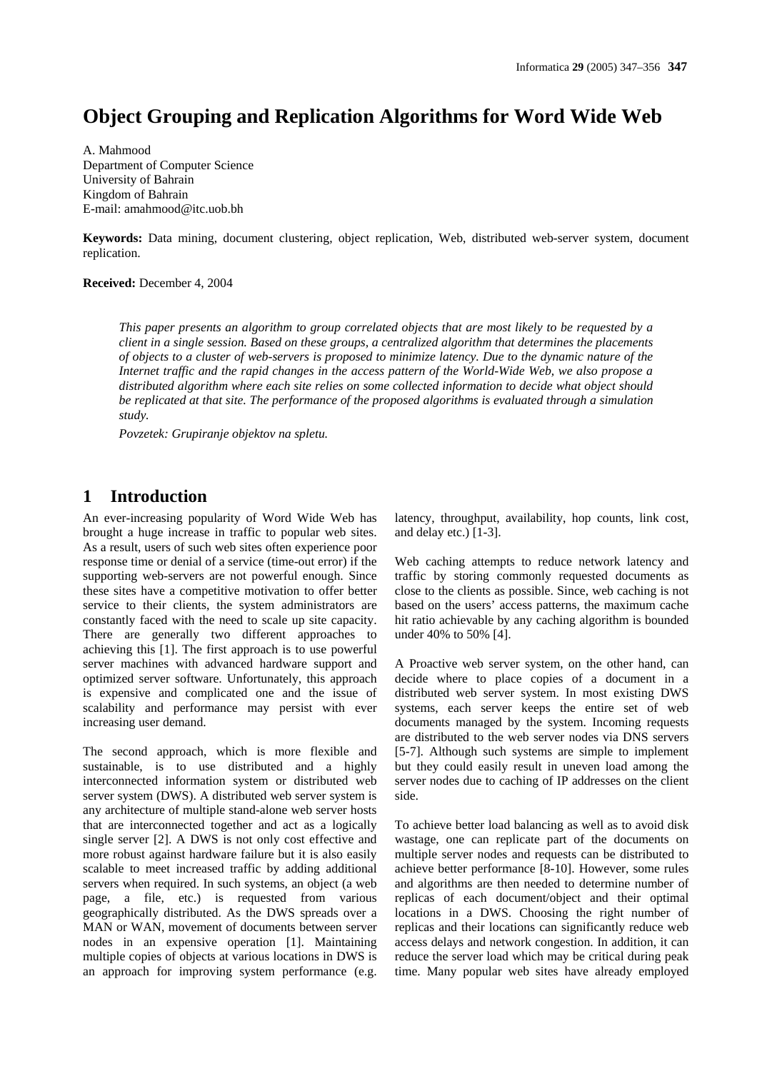# **Object Grouping and Replication Algorithms for Word Wide Web**

A. Mahmood Department of Computer Science University of Bahrain Kingdom of Bahrain E-mail: amahmood@itc.uob.bh

**Keywords:** Data mining, document clustering, object replication, Web, distributed web-server system, document replication.

**Received:** December 4, 2004

*This paper presents an algorithm to group correlated objects that are most likely to be requested by a client in a single session. Based on these groups, a centralized algorithm that determines the placements of objects to a cluster of web-servers is proposed to minimize latency. Due to the dynamic nature of the Internet traffic and the rapid changes in the access pattern of the World-Wide Web, we also propose a distributed algorithm where each site relies on some collected information to decide what object should be replicated at that site. The performance of the proposed algorithms is evaluated through a simulation study.* 

*Povzetek: Grupiranje objektov na spletu.* 

## **1 Introduction**

An ever-increasing popularity of Word Wide Web has brought a huge increase in traffic to popular web sites. As a result, users of such web sites often experience poor response time or denial of a service (time-out error) if the supporting web-servers are not powerful enough. Since these sites have a competitive motivation to offer better service to their clients, the system administrators are constantly faced with the need to scale up site capacity. There are generally two different approaches to achieving this [1]. The first approach is to use powerful server machines with advanced hardware support and optimized server software. Unfortunately, this approach is expensive and complicated one and the issue of scalability and performance may persist with ever increasing user demand.

The second approach, which is more flexible and sustainable, is to use distributed and a highly interconnected information system or distributed web server system (DWS). A distributed web server system is any architecture of multiple stand-alone web server hosts that are interconnected together and act as a logically single server [2]. A DWS is not only cost effective and more robust against hardware failure but it is also easily scalable to meet increased traffic by adding additional servers when required. In such systems, an object (a web page, a file, etc.) is requested from various geographically distributed. As the DWS spreads over a MAN or WAN, movement of documents between server nodes in an expensive operation [1]. Maintaining multiple copies of objects at various locations in DWS is an approach for improving system performance (e.g. latency, throughput, availability, hop counts, link cost, and delay etc.) [1-3].

Web caching attempts to reduce network latency and traffic by storing commonly requested documents as close to the clients as possible. Since, web caching is not based on the users' access patterns, the maximum cache hit ratio achievable by any caching algorithm is bounded under 40% to 50% [4].

A Proactive web server system, on the other hand, can decide where to place copies of a document in a distributed web server system. In most existing DWS systems, each server keeps the entire set of web documents managed by the system. Incoming requests are distributed to the web server nodes via DNS servers [5-7]. Although such systems are simple to implement but they could easily result in uneven load among the server nodes due to caching of IP addresses on the client side.

To achieve better load balancing as well as to avoid disk wastage, one can replicate part of the documents on multiple server nodes and requests can be distributed to achieve better performance [8-10]. However, some rules and algorithms are then needed to determine number of replicas of each document/object and their optimal locations in a DWS. Choosing the right number of replicas and their locations can significantly reduce web access delays and network congestion. In addition, it can reduce the server load which may be critical during peak time. Many popular web sites have already employed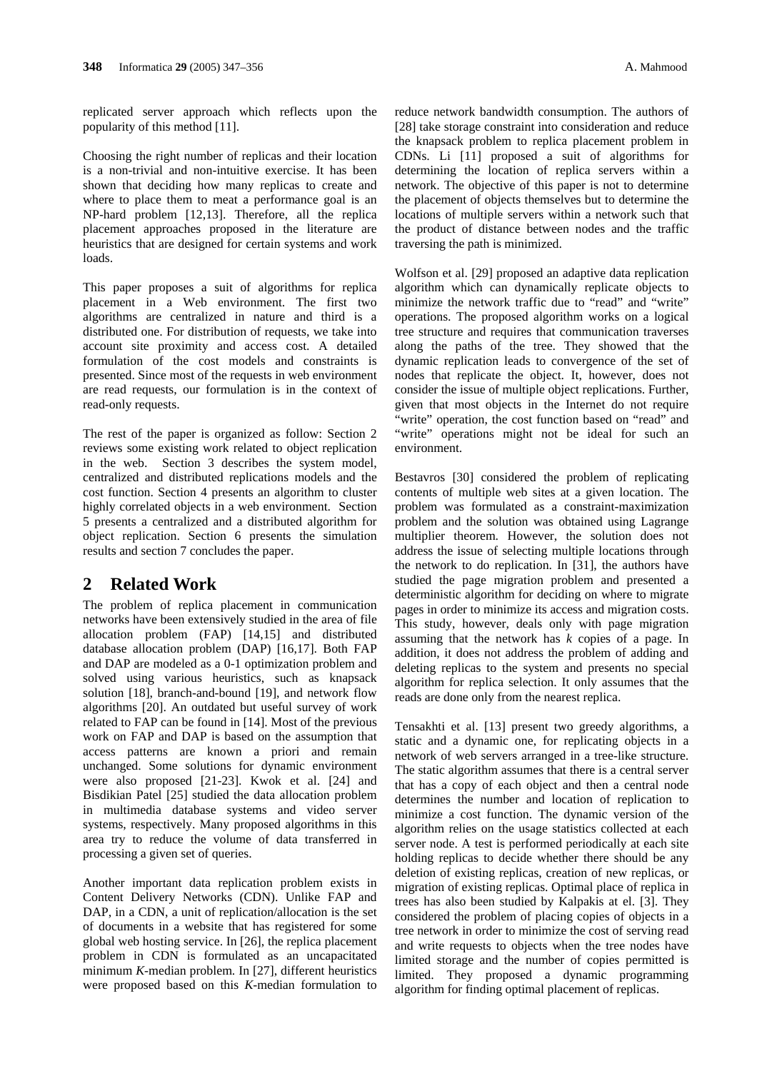replicated server approach which reflects upon the popularity of this method [11].

Choosing the right number of replicas and their location is a non-trivial and non-intuitive exercise. It has been shown that deciding how many replicas to create and where to place them to meat a performance goal is an NP-hard problem [12,13]. Therefore, all the replica placement approaches proposed in the literature are heuristics that are designed for certain systems and work loads.

This paper proposes a suit of algorithms for replica placement in a Web environment. The first two algorithms are centralized in nature and third is a distributed one. For distribution of requests, we take into account site proximity and access cost. A detailed formulation of the cost models and constraints is presented. Since most of the requests in web environment are read requests, our formulation is in the context of read-only requests.

The rest of the paper is organized as follow: Section 2 reviews some existing work related to object replication in the web. Section 3 describes the system model, centralized and distributed replications models and the cost function. Section 4 presents an algorithm to cluster highly correlated objects in a web environment. Section 5 presents a centralized and a distributed algorithm for object replication. Section 6 presents the simulation results and section 7 concludes the paper.

## **2 Related Work**

The problem of replica placement in communication networks have been extensively studied in the area of file allocation problem (FAP) [14,15] and distributed database allocation problem (DAP) [16,17]. Both FAP and DAP are modeled as a 0-1 optimization problem and solved using various heuristics, such as knapsack solution [18], branch-and-bound [19], and network flow algorithms [20]. An outdated but useful survey of work related to FAP can be found in [14]. Most of the previous work on FAP and DAP is based on the assumption that access patterns are known a priori and remain unchanged. Some solutions for dynamic environment were also proposed [21-23]. Kwok et al. [24] and Bisdikian Patel [25] studied the data allocation problem in multimedia database systems and video server systems, respectively. Many proposed algorithms in this area try to reduce the volume of data transferred in processing a given set of queries.

Another important data replication problem exists in Content Delivery Networks (CDN). Unlike FAP and DAP, in a CDN, a unit of replication/allocation is the set of documents in a website that has registered for some global web hosting service. In [26], the replica placement problem in CDN is formulated as an uncapacitated minimum *K*-median problem. In [27], different heuristics were proposed based on this *K*-median formulation to

reduce network bandwidth consumption. The authors of [28] take storage constraint into consideration and reduce the knapsack problem to replica placement problem in CDNs. Li [11] proposed a suit of algorithms for determining the location of replica servers within a network. The objective of this paper is not to determine the placement of objects themselves but to determine the locations of multiple servers within a network such that the product of distance between nodes and the traffic traversing the path is minimized.

Wolfson et al. [29] proposed an adaptive data replication algorithm which can dynamically replicate objects to minimize the network traffic due to "read" and "write" operations. The proposed algorithm works on a logical tree structure and requires that communication traverses along the paths of the tree. They showed that the dynamic replication leads to convergence of the set of nodes that replicate the object. It, however, does not consider the issue of multiple object replications. Further, given that most objects in the Internet do not require "write" operation, the cost function based on "read" and "write" operations might not be ideal for such an environment.

Bestavros [30] considered the problem of replicating contents of multiple web sites at a given location. The problem was formulated as a constraint-maximization problem and the solution was obtained using Lagrange multiplier theorem. However, the solution does not address the issue of selecting multiple locations through the network to do replication. In [31], the authors have studied the page migration problem and presented a deterministic algorithm for deciding on where to migrate pages in order to minimize its access and migration costs. This study, however, deals only with page migration assuming that the network has *k* copies of a page. In addition, it does not address the problem of adding and deleting replicas to the system and presents no special algorithm for replica selection. It only assumes that the reads are done only from the nearest replica.

Tensakhti et al. [13] present two greedy algorithms, a static and a dynamic one, for replicating objects in a network of web servers arranged in a tree-like structure. The static algorithm assumes that there is a central server that has a copy of each object and then a central node determines the number and location of replication to minimize a cost function. The dynamic version of the algorithm relies on the usage statistics collected at each server node. A test is performed periodically at each site holding replicas to decide whether there should be any deletion of existing replicas, creation of new replicas, or migration of existing replicas. Optimal place of replica in trees has also been studied by Kalpakis at el. [3]. They considered the problem of placing copies of objects in a tree network in order to minimize the cost of serving read and write requests to objects when the tree nodes have limited storage and the number of copies permitted is limited. They proposed a dynamic programming algorithm for finding optimal placement of replicas.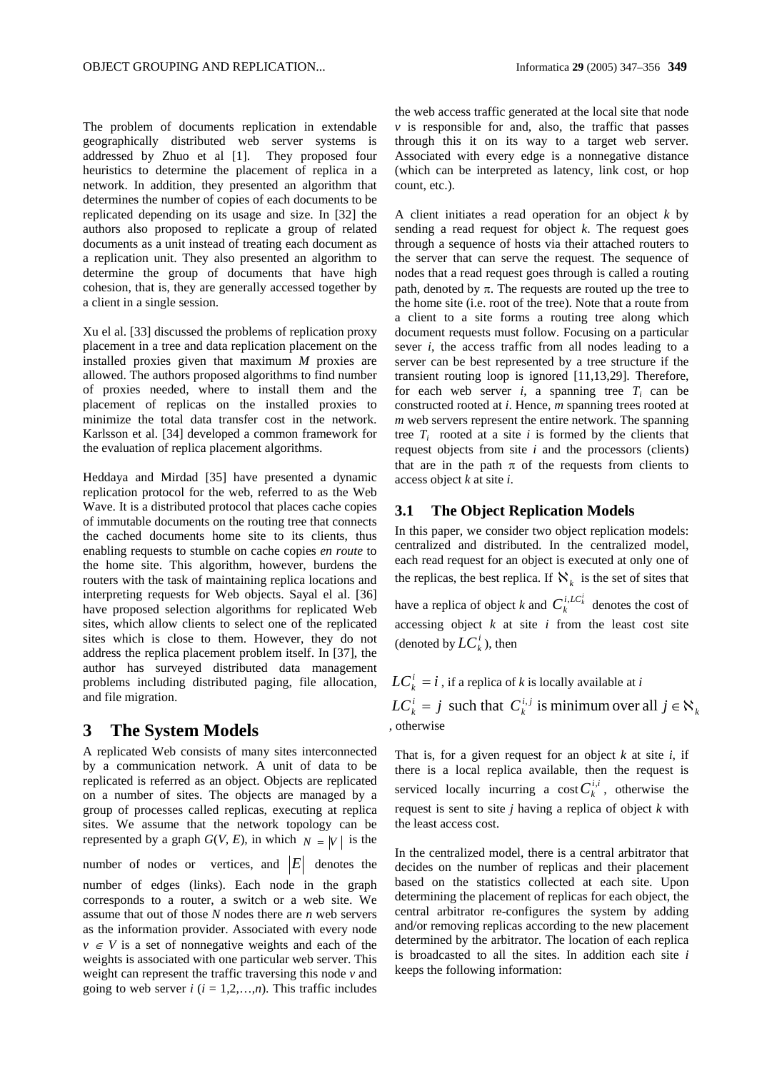The problem of documents replication in extendable geographically distributed web server systems is addressed by Zhuo et al [1]. They proposed four heuristics to determine the placement of replica in a network. In addition, they presented an algorithm that determines the number of copies of each documents to be replicated depending on its usage and size. In [32] the authors also proposed to replicate a group of related documents as a unit instead of treating each document as a replication unit. They also presented an algorithm to determine the group of documents that have high cohesion, that is, they are generally accessed together by a client in a single session.

Xu el al. [33] discussed the problems of replication proxy placement in a tree and data replication placement on the installed proxies given that maximum *M* proxies are allowed. The authors proposed algorithms to find number of proxies needed, where to install them and the placement of replicas on the installed proxies to minimize the total data transfer cost in the network. Karlsson et al. [34] developed a common framework for the evaluation of replica placement algorithms.

Heddaya and Mirdad [35] have presented a dynamic replication protocol for the web, referred to as the Web Wave. It is a distributed protocol that places cache copies of immutable documents on the routing tree that connects the cached documents home site to its clients, thus enabling requests to stumble on cache copies *en route* to the home site. This algorithm, however, burdens the routers with the task of maintaining replica locations and interpreting requests for Web objects. Sayal el al. [36] have proposed selection algorithms for replicated Web sites, which allow clients to select one of the replicated sites which is close to them. However, they do not address the replica placement problem itself. In [37], the author has surveyed distributed data management problems including distributed paging, file allocation, and file migration.

### **3 The System Models**

A replicated Web consists of many sites interconnected by a communication network. A unit of data to be replicated is referred as an object. Objects are replicated on a number of sites. The objects are managed by a group of processes called replicas, executing at replica sites. We assume that the network topology can be represented by a graph  $G(V, E)$ , in which  $N = |V|$  is the number of nodes or vertices, and  $|E|$  denotes the number of edges (links). Each node in the graph corresponds to a router, a switch or a web site. We

assume that out of those *N* nodes there are *n* web servers as the information provider. Associated with every node  $v \in V$  is a set of nonnegative weights and each of the weights is associated with one particular web server. This weight can represent the traffic traversing this node *v* and going to web server  $i$  ( $i = 1,2,...,n$ ). This traffic includes

the web access traffic generated at the local site that node  $\nu$  is responsible for and, also, the traffic that passes through this it on its way to a target web server. Associated with every edge is a nonnegative distance (which can be interpreted as latency, link cost, or hop count, etc.).

A client initiates a read operation for an object *k* by sending a read request for object *k*. The request goes through a sequence of hosts via their attached routers to the server that can serve the request. The sequence of nodes that a read request goes through is called a routing path, denoted by π. The requests are routed up the tree to the home site (i.e. root of the tree). Note that a route from a client to a site forms a routing tree along which document requests must follow. Focusing on a particular sever *i*, the access traffic from all nodes leading to a server can be best represented by a tree structure if the transient routing loop is ignored [11,13,29]. Therefore, for each web server  $i$ , a spanning tree  $T_i$  can be constructed rooted at *i*. Hence, *m* spanning trees rooted at *m* web servers represent the entire network. The spanning tree  $T_i$  rooted at a site  $i$  is formed by the clients that request objects from site *i* and the processors (clients) that are in the path  $\pi$  of the requests from clients to access object *k* at site *i*.

### **3.1 The Object Replication Models**

In this paper, we consider two object replication models: centralized and distributed. In the centralized model, each read request for an object is executed at only one of the replicas, the best replica. If  $\aleph_k$  is the set of sites that have a replica of object *k* and  $C_k^{i, LC_k^i}$  denotes the cost of accessing object  $k$  at site  $i$  from the least cost site (denoted by  $LC_{k}^{i}$ ), then

 $LC_{k}^{i} = i$  , if a replica of *k* is locally available at *i* 

*k i j k*  $LC_k^i = j$  such that  $C_k^{i,j}$  is minimum over all  $j \in \aleph$ , otherwise

That is, for a given request for an object *k* at site *i*, if there is a local replica available, then the request is serviced locally incurring a cost  $C_k^{i,i}$ , otherwise the request is sent to site *j* having a replica of object *k* with the least access cost.

In the centralized model, there is a central arbitrator that decides on the number of replicas and their placement based on the statistics collected at each site. Upon determining the placement of replicas for each object, the central arbitrator re-configures the system by adding and/or removing replicas according to the new placement determined by the arbitrator. The location of each replica is broadcasted to all the sites. In addition each site *i* keeps the following information: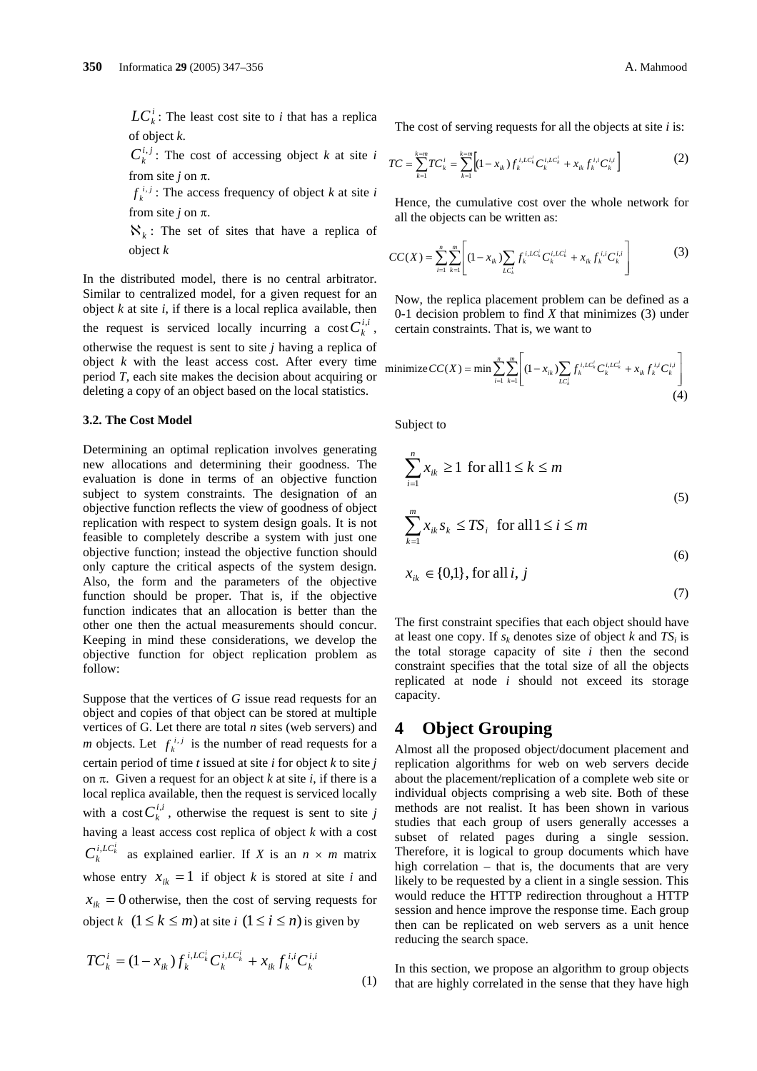$LC_k^i$ : The least cost site to *i* that has a replica of object *k*.

 $C_k^{i,j}$ : The cost of accessing object *k* at site *i* from site *j* on  $\pi$ .

 $f_k^{i,j}$ : The access frequency of object *k* at site *i* from site *j* on  $\pi$ .

 $\aleph_k$ : The set of sites that have a replica of object *k*

In the distributed model, there is no central arbitrator. Similar to centralized model, for a given request for an object *k* at site *i*, if there is a local replica available, then the request is serviced locally incurring a cost  $C_k^{i,i}$ , otherwise the request is sent to site *j* having a replica of object  $k$  with the least access cost. After every time period *T*, each site makes the decision about acquiring or deleting a copy of an object based on the local statistics.

#### **3.2. The Cost Model**

Determining an optimal replication involves generating new allocations and determining their goodness. The evaluation is done in terms of an objective function subject to system constraints. The designation of an objective function reflects the view of goodness of object replication with respect to system design goals. It is not feasible to completely describe a system with just one objective function; instead the objective function should only capture the critical aspects of the system design. Also, the form and the parameters of the objective function should be proper. That is, if the objective function indicates that an allocation is better than the other one then the actual measurements should concur. Keeping in mind these considerations, we develop the objective function for object replication problem as follow:

Suppose that the vertices of *G* issue read requests for an object and copies of that object can be stored at multiple vertices of G. Let there are total *n* sites (web servers) and *m* objects. Let  $f_k^{i,j}$  is the number of read requests for a certain period of time *t* issued at site *i* for object *k* to site *j* on  $\pi$ . Given a request for an object *k* at site *i*, if there is a local replica available, then the request is serviced locally with a cost  $C_k^{i,i}$ , otherwise the request is sent to site *j* having a least access cost replica of object *k* with a cost  $C_k^{i,LC_k^i}$  as explained earlier. If *X* is an  $n \times m$  matrix whose entry  $x_{ik} = 1$  if object *k* is stored at site *i* and  $x_{ik}$  = 0 otherwise, then the cost of serving requests for object *k*  $(1 \leq k \leq m)$  at site *i*  $(1 \leq i \leq n)$  is given by

$$
TC_k^i = (1 - x_{ik}) f_k^{i, LC_k^i} C_k^{i, LC_k^i} + x_{ik} f_k^{i, i} C_k^{i, i}
$$
\n(1)

The cost of serving requests for all the objects at site *i* is:

$$
TC = \sum_{k=1}^{k=m} TC_k^i = \sum_{k=1}^{k=m} \Big[ (1 - x_{ik}) f_k^{i, LC_k^i} C_k^{i, LC_k^i} + x_{ik} f_k^{i, i} C_k^{i, i} \Big] \tag{2}
$$

Hence, the cumulative cost over the whole network for all the objects can be written as:

$$
CC(X) = \sum_{i=1}^{n} \sum_{k=1}^{m} \left[ (1 - x_{ik}) \sum_{L C_k'} f_k^{i, LC_k'} C_k^{i, LC_k'} + x_{ik} f_k^{i, i} C_k^{i, i} \right] \tag{3}
$$

Now, the replica placement problem can be defined as a 0-1 decision problem to find *X* that minimizes (3) under certain constraints. That is, we want to

minimize 
$$
CC(X) = \min \sum_{i=1}^{n} \sum_{k=1}^{m} \left[ (1 - x_{ik}) \sum_{LC_k'} f_k^{i, LC_k'} C_k^{i, LC_k'} + x_{ik} f_k^{i, i} C_k^{i, i} \right]
$$
  
(4)

Subject to

$$
\sum_{i=1}^{n} x_{ik} \ge 1 \text{ for all } 1 \le k \le m
$$
  

$$
\sum_{k=1}^{m} x_{ik} s_k \le TS_i \text{ for all } 1 \le i \le m
$$
 (5)

$$
x_{ik} \in \{0,1\}, \text{for all } i, j \tag{6}
$$

$$
(7)
$$

The first constraint specifies that each object should have at least one copy. If  $s_k$  denotes size of object  $k$  and  $TS_i$  is the total storage capacity of site *i* then the second constraint specifies that the total size of all the objects replicated at node *i* should not exceed its storage capacity.

### **4 Object Grouping**

Almost all the proposed object/document placement and replication algorithms for web on web servers decide about the placement/replication of a complete web site or individual objects comprising a web site. Both of these methods are not realist. It has been shown in various studies that each group of users generally accesses a subset of related pages during a single session. Therefore, it is logical to group documents which have high correlation – that is, the documents that are very likely to be requested by a client in a single session. This would reduce the HTTP redirection throughout a HTTP session and hence improve the response time. Each group then can be replicated on web servers as a unit hence reducing the search space.

In this section, we propose an algorithm to group objects that are highly correlated in the sense that they have high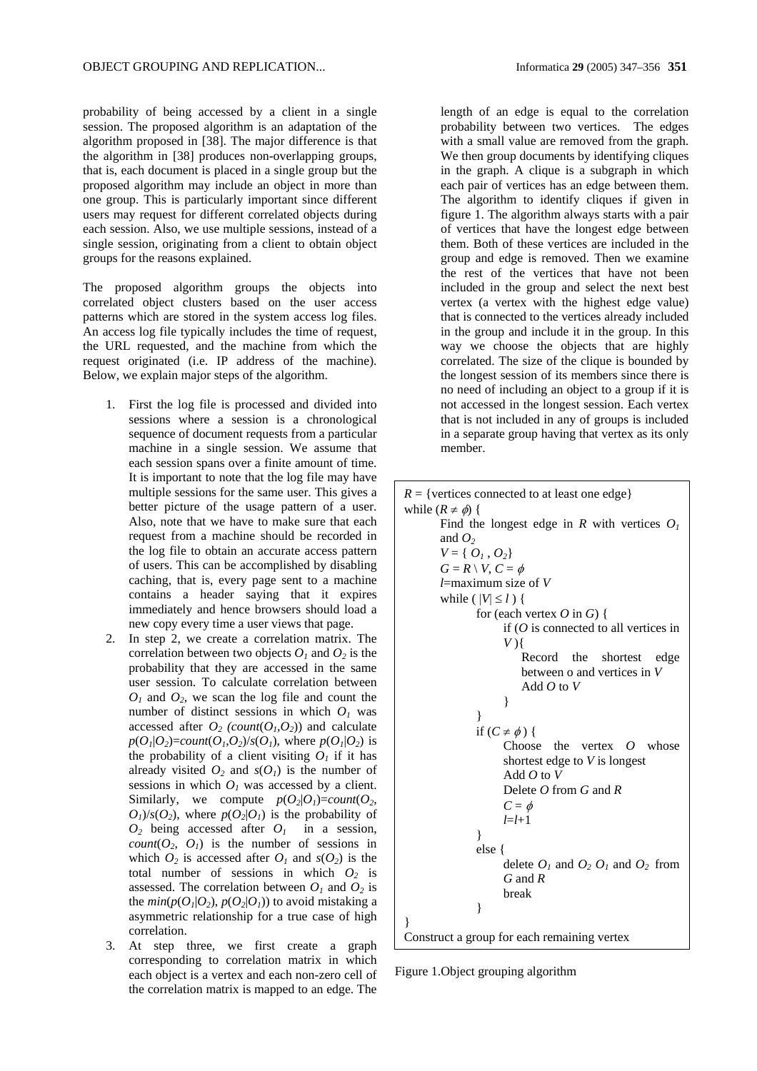probability of being accessed by a client in a single session. The proposed algorithm is an adaptation of the algorithm proposed in [38]. The major difference is that the algorithm in [38] produces non-overlapping groups, that is, each document is placed in a single group but the proposed algorithm may include an object in more than one group. This is particularly important since different users may request for different correlated objects during each session. Also, we use multiple sessions, instead of a single session, originating from a client to obtain object groups for the reasons explained.

The proposed algorithm groups the objects into correlated object clusters based on the user access patterns which are stored in the system access log files. An access log file typically includes the time of request, the URL requested, and the machine from which the request originated (i.e. IP address of the machine). Below, we explain major steps of the algorithm.

- 1. First the log file is processed and divided into sessions where a session is a chronological sequence of document requests from a particular machine in a single session. We assume that each session spans over a finite amount of time. It is important to note that the log file may have multiple sessions for the same user. This gives a better picture of the usage pattern of a user. Also, note that we have to make sure that each request from a machine should be recorded in the log file to obtain an accurate access pattern of users. This can be accomplished by disabling caching, that is, every page sent to a machine contains a header saying that it expires immediately and hence browsers should load a new copy every time a user views that page.
- 2. In step 2, we create a correlation matrix. The correlation between two objects  $O_1$  and  $O_2$  is the probability that they are accessed in the same user session. To calculate correlation between  $O_1$  and  $O_2$ , we scan the log file and count the number of distinct sessions in which  $O<sub>I</sub>$  was accessed after  $O_2$  (*count*( $O_1$ , $O_2$ )) and calculate  $p(O_I|O_2) = count(O_I,O_2)/s(O_I)$ , where  $p(O_I|O_2)$  is the probability of a client visiting  $O<sub>I</sub>$  if it has already visited  $O_2$  and  $s(O_1)$  is the number of sessions in which  $O<sub>I</sub>$  was accessed by a client. Similarly, we compute  $p(O_2|O_1)=count(O_2,$  $O_1$ / $s(O_2)$ , where  $p(O_2|O_1)$  is the probability of  $O_2$  being accessed after  $O_1$  in a session, *count* $(O_2, O_1)$  is the number of sessions in which  $O_2$  is accessed after  $O_1$  and  $s(O_2)$  is the total number of sessions in which  $O_2$  is assessed. The correlation between  $O_1$  and  $O_2$  is the  $min(p(O_1|O_2), p(O_2|O_1))$  to avoid mistaking a asymmetric relationship for a true case of high correlation.
- 3. At step three, we first create a graph corresponding to correlation matrix in which each object is a vertex and each non-zero cell of the correlation matrix is mapped to an edge. The

length of an edge is equal to the correlation probability between two vertices. The edges with a small value are removed from the graph. We then group documents by identifying cliques in the graph. A clique is a subgraph in which each pair of vertices has an edge between them. The algorithm to identify cliques if given in figure 1. The algorithm always starts with a pair of vertices that have the longest edge between them. Both of these vertices are included in the group and edge is removed. Then we examine the rest of the vertices that have not been included in the group and select the next best vertex (a vertex with the highest edge value) that is connected to the vertices already included in the group and include it in the group. In this way we choose the objects that are highly correlated. The size of the clique is bounded by the longest session of its members since there is no need of including an object to a group if it is not accessed in the longest session. Each vertex that is not included in any of groups is included in a separate group having that vertex as its only member.

 $R = \{$  vertices connected to at least one edge $\}$ while  $(R \neq \emptyset)$  { Find the longest edge in *R* with vertices  $O<sub>1</sub>$ and  $O_2$  $V = \{ O_1, O_2 \}$  $G = R \setminus V$ ,  $C = \phi$ *l*=maximum size of *V* while ( $|V| \leq l$ ) { for (each vertex *O* in *G*) { if (*O* is connected to all vertices in *V* ){ Record the shortest edge between o and vertices in *V* Add  $Q$  to  $V$ } } if  $(C \neq \phi)$  { Choose the vertex *O* whose shortest edge to *V* is longest Add *O* to *V* Delete *O* from *G* and *R*  $C = \phi$ *l*=*l*+1 } else { delete  $O_1$  and  $O_2$   $O_1$  and  $O_2$  from *G* and *R* break } } Construct a group for each remaining vertex

Figure 1.Object grouping algorithm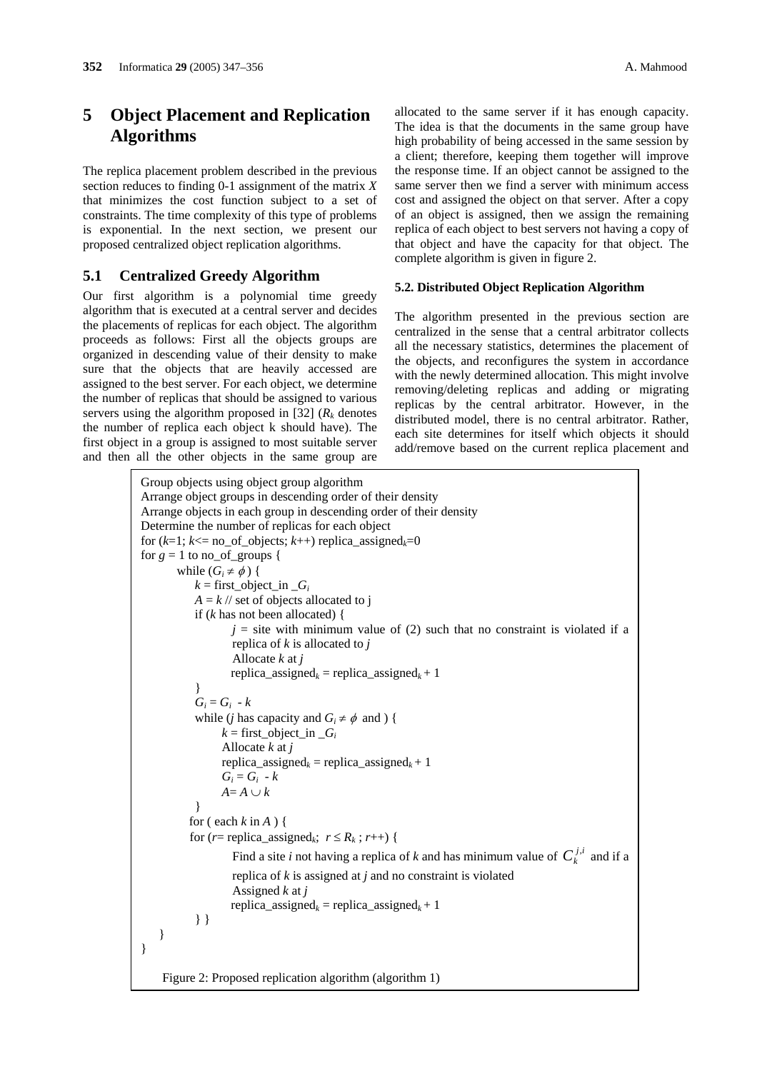## **5 Object Placement and Replication Algorithms**

The replica placement problem described in the previous section reduces to finding 0-1 assignment of the matrix *X* that minimizes the cost function subject to a set of constraints. The time complexity of this type of problems is exponential. In the next section, we present our proposed centralized object replication algorithms.

### **5.1 Centralized Greedy Algorithm**

Our first algorithm is a polynomial time greedy algorithm that is executed at a central server and decides the placements of replicas for each object. The algorithm proceeds as follows: First all the objects groups are organized in descending value of their density to make sure that the objects that are heavily accessed are assigned to the best server. For each object, we determine the number of replicas that should be assigned to various servers using the algorithm proposed in [32]  $(R_k \text{ denotes})$ the number of replica each object k should have). The first object in a group is assigned to most suitable server and then all the other objects in the same group are allocated to the same server if it has enough capacity. The idea is that the documents in the same group have high probability of being accessed in the same session by a client; therefore, keeping them together will improve the response time. If an object cannot be assigned to the same server then we find a server with minimum access cost and assigned the object on that server. After a copy of an object is assigned, then we assign the remaining replica of each object to best servers not having a copy of that object and have the capacity for that object. The complete algorithm is given in figure 2.

#### **5.2. Distributed Object Replication Algorithm**

The algorithm presented in the previous section are centralized in the sense that a central arbitrator collects all the necessary statistics, determines the placement of the objects, and reconfigures the system in accordance with the newly determined allocation. This might involve removing/deleting replicas and adding or migrating replicas by the central arbitrator. However, in the distributed model, there is no central arbitrator. Rather, each site determines for itself which objects it should add/remove based on the current replica placement and

```
Group objects using object group algorithm 
Arrange object groups in descending order of their density 
Arrange objects in each group in descending order of their density 
Determine the number of replicas for each object 
for (k=1; k<= no of objects; k++) replica assigned<sub>k</sub>=0
for g = 1 to no_of_groups {
        while (G_i \neq \phi) {
            k = first_object_in [G_i]A = k // set of objects allocated to j
            if (k has not been allocated) { 
                    j = site with minimum value of (2) such that no constraint is violated if a
                    replica of k is allocated to j
                    Allocate k at j 
                    replica_assigned<sub>k</sub> = replica_assigned<sub>k</sub> + 1
            } 
            G_i = G_i - kwhile (i has capacity and G_i \neq \phi and ) {
                  k = \text{first\_object\_in } G_iAllocate k at j
                  replica_assigned<sub>k</sub> = replica_assigned<sub>k</sub> + 1
                  G_i = G_i - kA = A ∪ k} 
            for ( each k in A ) { 
           for (r= replica_assigned<sub>k</sub>; r \le R_k; r++) {
                     Find a site i not having a replica of k and has minimum value of C_k^{j,i} and if a
                    replica of k is assigned at j and no constraint is violated 
                    Assigned k at j 
                    replica assigned<sub>k</sub> = replica assigned<sub>k</sub> + 1
            } } 
    } 
} 
    Figure 2: Proposed replication algorithm (algorithm 1)
```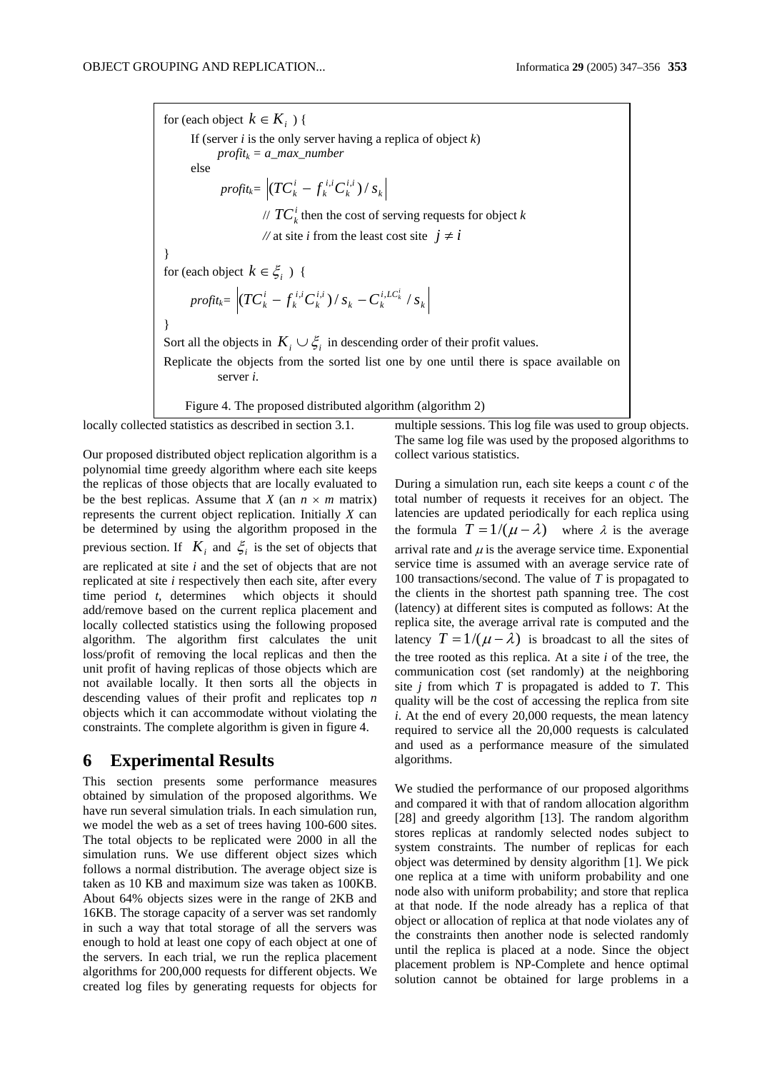for (each object  $k \in K_i$ ) { If (server  $i$  is the only server having a replica of object  $k$ )  $profit_k = a\_max\_number$ else  $\textit{profit}_k = \left| (T C_k^i - f_k^{ \ i,i } C_k^{ \ i, i} ) \right/ s_k \right|$ *k i i k*  $\left( TC_k^i - f_k^{i,i}C_k^{i,i} \right)/s_k$ //  $TC_k^i$  then the cost of serving requests for object *k //* at site *i* from the least cost site  $j \neq i$ } for (each object  $k \in \xi_i$ ) {  $\textit{profit}_k \!=\! \left|\left(\textit{TC}_k^i - f_k^{i,i} \textit{C}_k^{i,i}\right) / \textit{s}_k - \textit{C}_k^{i,LC_k^i} \right| \textit{s}_k\right|$  $_k$   $\sim$   $_k$ *i i k i i k*  $(TC_k^i - f_k^{i,i}C_k^{i,i})/s_k - C_k^{i,LC_k^i}/s$ } Sort all the objects in  $K_i \cup \xi_i$  in descending order of their profit values. Replicate the objects from the sorted list one by one until there is space available on server *i*. Figure 4. The proposed distributed algorithm (algorithm 2)

locally collected statistics as described in section 3.1.

Our proposed distributed object replication algorithm is a polynomial time greedy algorithm where each site keeps the replicas of those objects that are locally evaluated to be the best replicas. Assume that *X* (an  $n \times m$  matrix) represents the current object replication. Initially *X* can be determined by using the algorithm proposed in the previous section. If  $K_i$  and  $\xi_i$  is the set of objects that are replicated at site *i* and the set of objects that are not replicated at site *i* respectively then each site, after every time period *t*, determines which objects it should add/remove based on the current replica placement and locally collected statistics using the following proposed algorithm. The algorithm first calculates the unit loss/profit of removing the local replicas and then the unit profit of having replicas of those objects which are not available locally. It then sorts all the objects in descending values of their profit and replicates top *n* objects which it can accommodate without violating the constraints. The complete algorithm is given in figure 4.

## **6 Experimental Results**

This section presents some performance measures obtained by simulation of the proposed algorithms. We have run several simulation trials. In each simulation run, we model the web as a set of trees having 100-600 sites. The total objects to be replicated were 2000 in all the simulation runs. We use different object sizes which follows a normal distribution. The average object size is taken as 10 KB and maximum size was taken as 100KB. About 64% objects sizes were in the range of 2KB and 16KB. The storage capacity of a server was set randomly in such a way that total storage of all the servers was enough to hold at least one copy of each object at one of the servers. In each trial, we run the replica placement algorithms for 200,000 requests for different objects. We created log files by generating requests for objects for

multiple sessions. This log file was used to group objects. The same log file was used by the proposed algorithms to collect various statistics.

During a simulation run, each site keeps a count *c* of the total number of requests it receives for an object. The latencies are updated periodically for each replica using the formula  $T = 1/(\mu - \lambda)$  where  $\lambda$  is the average arrival rate and  $\mu$  is the average service time. Exponential service time is assumed with an average service rate of 100 transactions/second. The value of *T* is propagated to the clients in the shortest path spanning tree. The cost (latency) at different sites is computed as follows: At the replica site, the average arrival rate is computed and the latency  $T = 1/(\mu - \lambda)$  is broadcast to all the sites of the tree rooted as this replica. At a site *i* of the tree, the communication cost (set randomly) at the neighboring site *j* from which *T* is propagated is added to *T*. This quality will be the cost of accessing the replica from site *i*. At the end of every 20,000 requests, the mean latency required to service all the 20,000 requests is calculated and used as a performance measure of the simulated algorithms.

We studied the performance of our proposed algorithms and compared it with that of random allocation algorithm [28] and greedy algorithm [13]. The random algorithm stores replicas at randomly selected nodes subject to system constraints. The number of replicas for each object was determined by density algorithm [1]. We pick one replica at a time with uniform probability and one node also with uniform probability; and store that replica at that node. If the node already has a replica of that object or allocation of replica at that node violates any of the constraints then another node is selected randomly until the replica is placed at a node. Since the object placement problem is NP-Complete and hence optimal solution cannot be obtained for large problems in a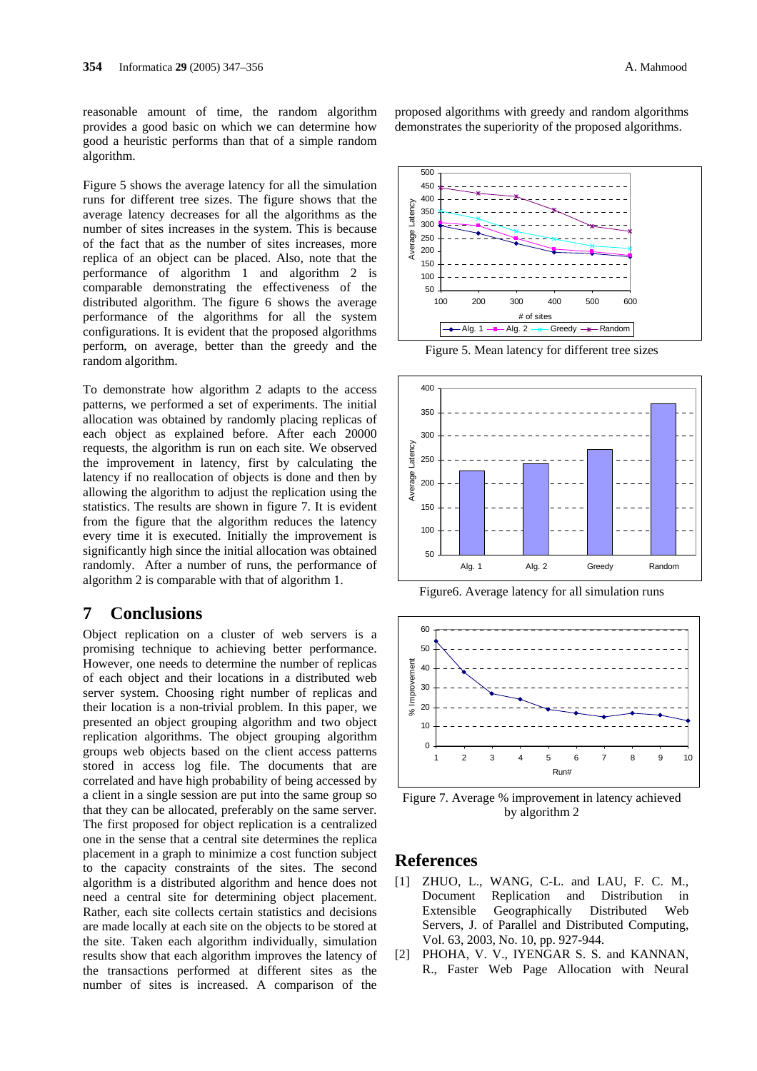reasonable amount of time, the random algorithm provides a good basic on which we can determine how good a heuristic performs than that of a simple random algorithm.

Figure 5 shows the average latency for all the simulation runs for different tree sizes. The figure shows that the average latency decreases for all the algorithms as the number of sites increases in the system. This is because of the fact that as the number of sites increases, more replica of an object can be placed. Also, note that the performance of algorithm 1 and algorithm 2 is comparable demonstrating the effectiveness of the distributed algorithm. The figure 6 shows the average performance of the algorithms for all the system configurations. It is evident that the proposed algorithms perform, on average, better than the greedy and the random algorithm.

To demonstrate how algorithm 2 adapts to the access patterns, we performed a set of experiments. The initial allocation was obtained by randomly placing replicas of each object as explained before. After each 20000 requests, the algorithm is run on each site. We observed the improvement in latency, first by calculating the latency if no reallocation of objects is done and then by allowing the algorithm to adjust the replication using the statistics. The results are shown in figure 7. It is evident from the figure that the algorithm reduces the latency every time it is executed. Initially the improvement is significantly high since the initial allocation was obtained randomly. After a number of runs, the performance of algorithm 2 is comparable with that of algorithm 1.

## **7 Conclusions**

Object replication on a cluster of web servers is a promising technique to achieving better performance. However, one needs to determine the number of replicas of each object and their locations in a distributed web server system. Choosing right number of replicas and their location is a non-trivial problem. In this paper, we presented an object grouping algorithm and two object replication algorithms. The object grouping algorithm groups web objects based on the client access patterns stored in access log file. The documents that are correlated and have high probability of being accessed by a client in a single session are put into the same group so that they can be allocated, preferably on the same server. The first proposed for object replication is a centralized one in the sense that a central site determines the replica placement in a graph to minimize a cost function subject to the capacity constraints of the sites. The second algorithm is a distributed algorithm and hence does not need a central site for determining object placement. Rather, each site collects certain statistics and decisions are made locally at each site on the objects to be stored at the site. Taken each algorithm individually, simulation results show that each algorithm improves the latency of the transactions performed at different sites as the number of sites is increased. A comparison of the

proposed algorithms with greedy and random algorithms demonstrates the superiority of the proposed algorithms.



Figure 5. Mean latency for different tree sizes



Figure6. Average latency for all simulation runs



Figure 7. Average % improvement in latency achieved by algorithm 2

### **References**

- [1] ZHUO, L., WANG, C-L. and LAU, F. C. M., Document Replication and Distribution in Extensible Geographically Distributed Web Servers, J. of Parallel and Distributed Computing, Vol. 63, 2003, No. 10, pp. 927-944.
- [2] PHOHA, V. V., IYENGAR S. S. and KANNAN, R., Faster Web Page Allocation with Neural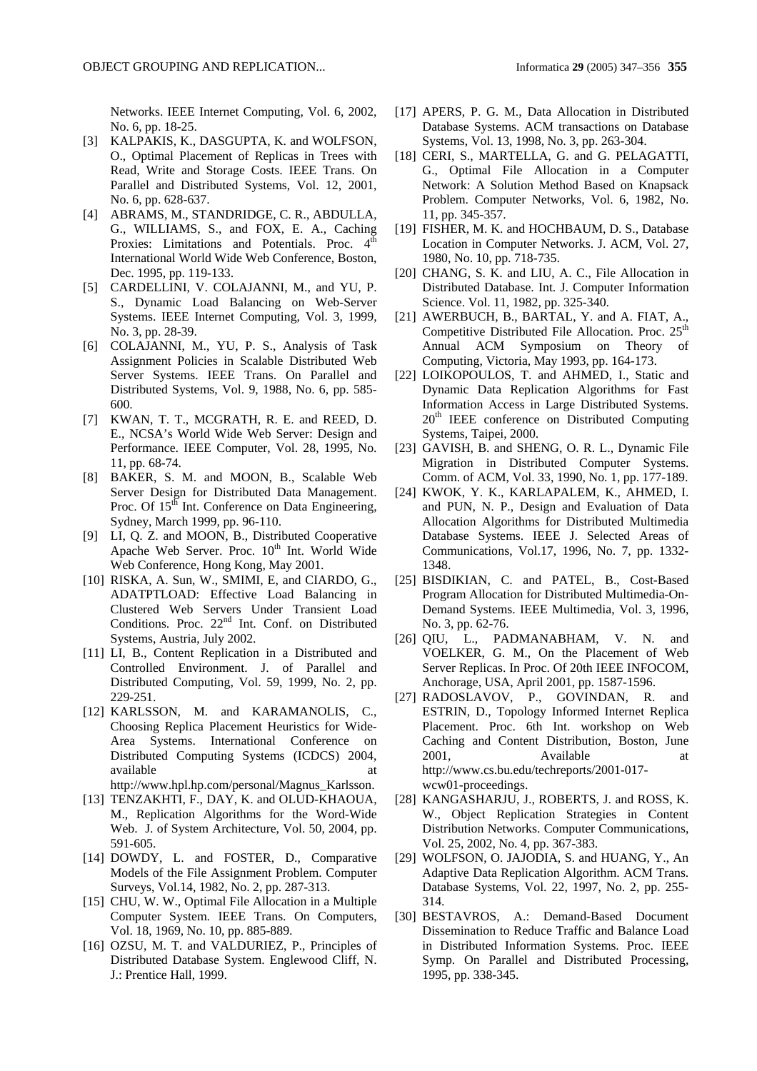Networks. IEEE Internet Computing, Vol. 6, 2002, No. 6, pp. 18-25.

- [3] KALPAKIS, K., DASGUPTA, K. and WOLFSON, O., Optimal Placement of Replicas in Trees with Read, Write and Storage Costs. IEEE Trans. On Parallel and Distributed Systems, Vol. 12, 2001, No. 6, pp. 628-637.
- [4] ABRAMS, M., STANDRIDGE, C. R., ABDULLA, G., WILLIAMS, S., and FOX, E. A., Caching Proxies: Limitations and Potentials. Proc. 4<sup>th</sup> International World Wide Web Conference, Boston, Dec. 1995, pp. 119-133.
- [5] CARDELLINI, V. COLAJANNI, M., and YU, P. S., Dynamic Load Balancing on Web-Server Systems. IEEE Internet Computing, Vol. 3, 1999, No. 3, pp. 28-39.
- [6] COLAJANNI, M., YU, P. S., Analysis of Task Assignment Policies in Scalable Distributed Web Server Systems. IEEE Trans. On Parallel and Distributed Systems, Vol. 9, 1988, No. 6, pp. 585- 600.
- [7] KWAN, T. T., MCGRATH, R. E. and REED, D. E., NCSA's World Wide Web Server: Design and Performance. IEEE Computer, Vol. 28, 1995, No. 11, pp. 68-74.
- [8] BAKER, S. M. and MOON, B., Scalable Web Server Design for Distributed Data Management. Proc. Of 15<sup>th</sup> Int. Conference on Data Engineering, Sydney, March 1999, pp. 96-110.
- [9] LI, Q. Z. and MOON, B., Distributed Cooperative Apache Web Server. Proc.  $10<sup>th</sup>$  Int. World Wide Web Conference, Hong Kong, May 2001.
- [10] RISKA, A. Sun, W., SMIMI, E, and CIARDO, G., ADATPTLOAD: Effective Load Balancing in Clustered Web Servers Under Transient Load Conditions. Proc. 22<sup>nd</sup> Int. Conf. on Distributed Systems, Austria, July 2002.
- [11] LI, B., Content Replication in a Distributed and Controlled Environment. J. of Parallel and Distributed Computing, Vol. 59, 1999, No. 2, pp. 229-251.
- [12] KARLSSON, M. and KARAMANOLIS, C., Choosing Replica Placement Heuristics for Wide-Area Systems. International Conference on Distributed Computing Systems (ICDCS) 2004, available at a strategies at a strategies at a strategies at a strategies at a strategies at a strategies at a http://www.hpl.hp.com/personal/Magnus\_Karlsson.
- [13] TENZAKHTI, F., DAY, K. and OLUD-KHAOUA, M., Replication Algorithms for the Word-Wide Web. J. of System Architecture, Vol. 50, 2004, pp. 591-605.
- [14] DOWDY, L. and FOSTER, D., Comparative Models of the File Assignment Problem. Computer Surveys, Vol.14, 1982, No. 2, pp. 287-313.
- [15] CHU, W. W., Optimal File Allocation in a Multiple Computer System. IEEE Trans. On Computers, Vol. 18, 1969, No. 10, pp. 885-889.
- [16] OZSU, M. T. and VALDURIEZ, P., Principles of Distributed Database System. Englewood Cliff, N. J.: Prentice Hall, 1999.
- [17] APERS, P. G. M., Data Allocation in Distributed Database Systems. ACM transactions on Database Systems, Vol. 13, 1998, No. 3, pp. 263-304.
- [18] CERI, S., MARTELLA, G. and G. PELAGATTI, G., Optimal File Allocation in a Computer Network: A Solution Method Based on Knapsack Problem. Computer Networks, Vol. 6, 1982, No. 11, pp. 345-357.
- [19] FISHER, M. K. and HOCHBAUM, D. S., Database Location in Computer Networks. J. ACM, Vol. 27, 1980, No. 10, pp. 718-735.
- [20] CHANG, S. K. and LIU, A. C., File Allocation in Distributed Database. Int. J. Computer Information Science. Vol. 11, 1982, pp. 325-340.
- [21] AWERBUCH, B., BARTAL, Y. and A. FIAT, A., Competitive Distributed File Allocation. Proc. 25<sup>th</sup> Annual ACM Symposium on Theory of Computing, Victoria, May 1993, pp. 164-173.
- [22] LOIKOPOULOS, T. and AHMED, I., Static and Dynamic Data Replication Algorithms for Fast Information Access in Large Distributed Systems. 20<sup>th</sup> IEEE conference on Distributed Computing Systems, Taipei, 2000.
- [23] GAVISH, B. and SHENG, O. R. L., Dynamic File Migration in Distributed Computer Systems. Comm. of ACM, Vol. 33, 1990, No. 1, pp. 177-189.
- [24] KWOK, Y. K., KARLAPALEM, K., AHMED, I. and PUN, N. P., Design and Evaluation of Data Allocation Algorithms for Distributed Multimedia Database Systems. IEEE J. Selected Areas of Communications, Vol.17, 1996, No. 7, pp. 1332- 1348.
- [25] BISDIKIAN, C. and PATEL, B., Cost-Based Program Allocation for Distributed Multimedia-On-Demand Systems. IEEE Multimedia, Vol. 3, 1996, No. 3, pp. 62-76.
- [26] OIU, L., PADMANABHAM, V. N. and VOELKER, G. M., On the Placement of Web Server Replicas. In Proc. Of 20th IEEE INFOCOM, Anchorage, USA, April 2001, pp. 1587-1596.
- [27] RADOSLAVOV, P., GOVINDAN, R. and ESTRIN, D., Topology Informed Internet Replica Placement. Proc. 6th Int. workshop on Web Caching and Content Distribution, Boston, June 2001, Available at http://www.cs.bu.edu/techreports/2001-017 wcw01-proceedings.
- [28] KANGASHARJU, J., ROBERTS, J. and ROSS, K. W., Object Replication Strategies in Content Distribution Networks. Computer Communications, Vol. 25, 2002, No. 4, pp. 367-383.
- [29] WOLFSON, O. JAJODIA, S. and HUANG, Y., An Adaptive Data Replication Algorithm. ACM Trans. Database Systems, Vol. 22, 1997, No. 2, pp. 255- 314.
- [30] BESTAVROS, A.: Demand-Based Document Dissemination to Reduce Traffic and Balance Load in Distributed Information Systems. Proc. IEEE Symp. On Parallel and Distributed Processing, 1995, pp. 338-345.